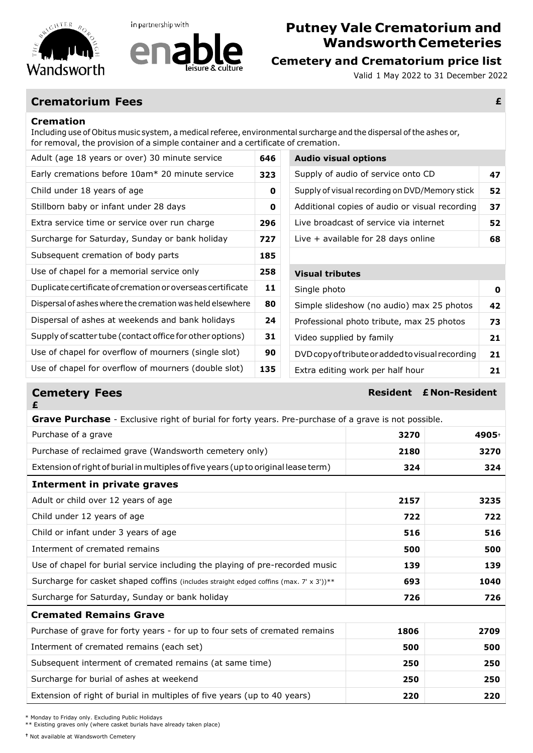

in partnership with



## **Putney Vale Crematorium and WandsworthCemeteries**

Valid 1 May 2022 to 31 December 2022

### **Crematorium Fees £**

#### **Cremation**

Including use of Obitus music system, a medical referee, environmental surcharge and the dispersal ofthe ashes or, for removal, the provision of a simple container and a certificate of cremation.

| Adult (age 18 years or over) 30 minute service             | 646 | <b>Audio visual options</b>                      |    |
|------------------------------------------------------------|-----|--------------------------------------------------|----|
| Early cremations before 10am* 20 minute service            | 323 | Supply of audio of service onto CD               | 47 |
| Child under 18 years of age                                | 0   | Supply of visual recording on DVD/Memory stick   | 52 |
| Stillborn baby or infant under 28 days                     | 0   | Additional copies of audio or visual recording   | 37 |
| Extra service time or service over run charge              | 296 | Live broadcast of service via internet           | 52 |
| Surcharge for Saturday, Sunday or bank holiday             | 727 | Live $+$ available for 28 days online            | 68 |
| Subsequent cremation of body parts                         | 185 |                                                  |    |
|                                                            |     |                                                  |    |
| Use of chapel for a memorial service only                  | 258 | <b>Visual tributes</b>                           |    |
| Duplicate certificate of cremation or overseas certificate | 11  | Single photo                                     | 0  |
| Dispersal of ashes where the cremation was held elsewhere  | 80  | Simple slideshow (no audio) max 25 photos        | 42 |
| Dispersal of ashes at weekends and bank holidays           | 24  | Professional photo tribute, max 25 photos        | 73 |
| Supply of scatter tube (contact office for other options)  | 31  | Video supplied by family                         | 21 |
| Use of chapel for overflow of mourners (single slot)       | 90  | DVD copy of tribute or added to visual recording | 21 |

### **Visual tributes** Simple slideshow (no audio) max 25 photos **42** Professional photo tribute, max 25 photos **73** Video supplied by family **21 21** Use of chapel for overflow of mourners (single slot) **90** DVDcopyoftributeoraddedtovisual recording **21** Extra editing work per half hour **135 21**

# **£**

**Cemetery Fees Resident E** Non-Resident

| <b>Grave Purchase</b> - Exclusive right of burial for forty years. Pre-purchase of a grave is not possible. |      |       |  |  |
|-------------------------------------------------------------------------------------------------------------|------|-------|--|--|
| Purchase of a grave                                                                                         | 3270 | 4905+ |  |  |
| Purchase of reclaimed grave (Wandsworth cemetery only)                                                      | 2180 | 3270  |  |  |
| Extension of right of burial in multiples of five years (up to original lease term)                         | 324  | 324   |  |  |
| Interment in private graves                                                                                 |      |       |  |  |
| Adult or child over 12 years of age                                                                         | 2157 | 3235  |  |  |
| Child under 12 years of age                                                                                 | 722  | 722   |  |  |
| Child or infant under 3 years of age                                                                        | 516  | 516   |  |  |
| Interment of cremated remains                                                                               | 500  | 500   |  |  |
| Use of chapel for burial service including the playing of pre-recorded music                                | 139  | 139   |  |  |
| Surcharge for casket shaped coffins (includes straight edged coffins (max. 7' x 3'))**                      | 693  | 1040  |  |  |
| Surcharge for Saturday, Sunday or bank holiday                                                              | 726  | 726   |  |  |
| <b>Cremated Remains Grave</b>                                                                               |      |       |  |  |
| Purchase of grave for forty years - for up to four sets of cremated remains                                 | 1806 | 2709  |  |  |
| Interment of cremated remains (each set)                                                                    | 500  | 500   |  |  |
| Subsequent interment of cremated remains (at same time)                                                     | 250  | 250   |  |  |
| Surcharge for burial of ashes at weekend                                                                    | 250  | 250   |  |  |
| Extension of right of burial in multiples of five years (up to 40 years)                                    | 220  | 220   |  |  |
|                                                                                                             |      |       |  |  |

\* Monday to Friday only. Excluding Public Holidays

\*\* Existing graves only (where casket burials have already taken place)

**†** Not available at Wandsworth Cemetery